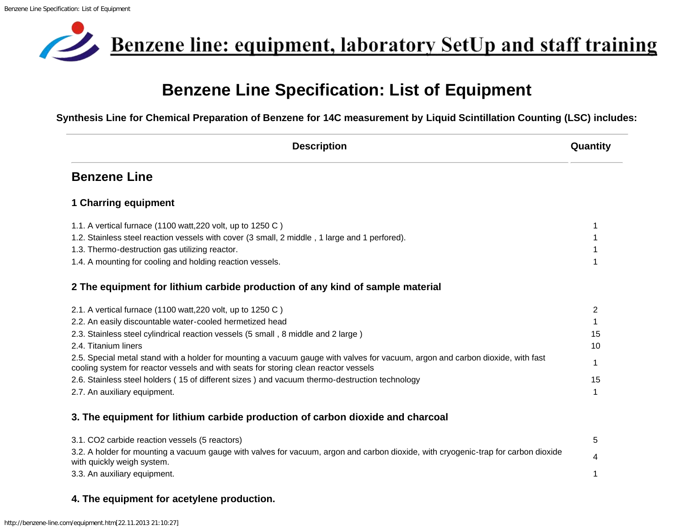<span id="page-0-0"></span>

## **Benzene Line Specification: List of Equipment**

**Synthesis Line for Chemical Preparation of Benzene for 14C measurement by Liquid Scintillation Counting (LSC) includes:**

| <b>Description</b>                                                                                                                                                                                                    | Quantity       |
|-----------------------------------------------------------------------------------------------------------------------------------------------------------------------------------------------------------------------|----------------|
| <b>Benzene Line</b>                                                                                                                                                                                                   |                |
| <b>1 Charring equipment</b>                                                                                                                                                                                           |                |
| 1.1. A vertical furnace (1100 watt, 220 volt, up to 1250 C)                                                                                                                                                           |                |
| 1.2. Stainless steel reaction vessels with cover (3 small, 2 middle, 1 large and 1 perfored).                                                                                                                         |                |
| 1.3. Thermo-destruction gas utilizing reactor.                                                                                                                                                                        |                |
| 1.4. A mounting for cooling and holding reaction vessels.                                                                                                                                                             |                |
| 2 The equipment for lithium carbide production of any kind of sample material                                                                                                                                         |                |
| 2.1. A vertical furnace (1100 watt, 220 volt, up to 1250 C)                                                                                                                                                           | $\overline{2}$ |
| 2.2. An easily discountable water-cooled hermetized head                                                                                                                                                              |                |
| 2.3. Stainless steel cylindrical reaction vessels (5 small, 8 middle and 2 large)                                                                                                                                     | 15             |
| 2.4. Titanium liners                                                                                                                                                                                                  | 10             |
| 2.5. Special metal stand with a holder for mounting a vacuum gauge with valves for vacuum, argon and carbon dioxide, with fast<br>cooling system for reactor vessels and with seats for storing clean reactor vessels | 1              |
| 2.6. Stainless steel holders (15 of different sizes) and vacuum thermo-destruction technology                                                                                                                         | 15             |
| 2.7. An auxiliary equipment.                                                                                                                                                                                          |                |
| 3. The equipment for lithium carbide production of carbon dioxide and charcoal                                                                                                                                        |                |
| 3.1. CO2 carbide reaction vessels (5 reactors)                                                                                                                                                                        | 5              |
| 3.2. A holder for mounting a vacuum gauge with valves for vacuum, argon and carbon dioxide, with cryogenic-trap for carbon dioxide<br>with quickly weigh system.                                                      |                |
| 3.3. An auxiliary equipment.                                                                                                                                                                                          |                |
|                                                                                                                                                                                                                       |                |

## **4. The equipment for acetylene production.**